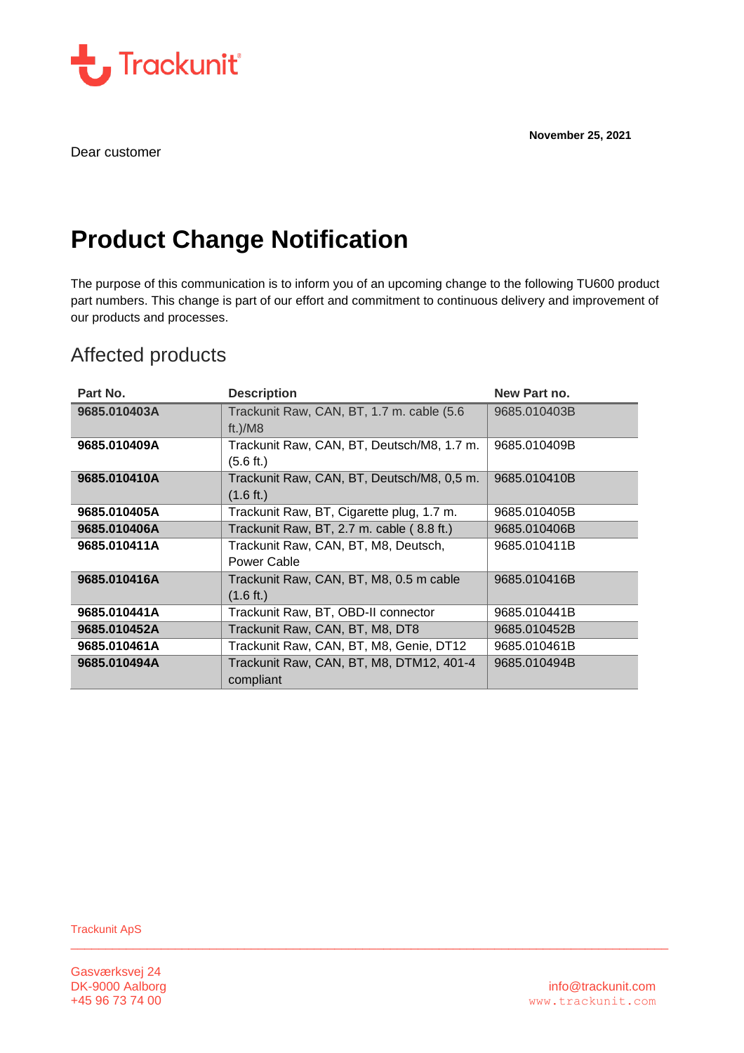**November 25, 2021**



Dear customer

# **Product Change Notification**

The purpose of this communication is to inform you of an upcoming change to the following TU600 product part numbers. This change is part of our effort and commitment to continuous delivery and improvement of our products and processes.

## Affected products

| Part No.     | <b>Description</b>                                                | New Part no. |
|--------------|-------------------------------------------------------------------|--------------|
| 9685.010403A | Trackunit Raw, CAN, BT, 1.7 m. cable (5.6<br>ft.)/ $M8$           | 9685.010403B |
| 9685.010409A | Trackunit Raw, CAN, BT, Deutsch/M8, 1.7 m.<br>(5.6 ft.)           | 9685.010409B |
| 9685.010410A | Trackunit Raw, CAN, BT, Deutsch/M8, 0,5 m.<br>$(1.6 \text{ ft.})$ | 9685.010410B |
| 9685.010405A | Trackunit Raw, BT, Cigarette plug, 1.7 m.                         | 9685.010405B |
| 9685.010406A | Trackunit Raw, BT, 2.7 m. cable (8.8 ft.)                         | 9685.010406B |
| 9685.010411A | Trackunit Raw, CAN, BT, M8, Deutsch,<br>Power Cable               | 9685.010411B |
| 9685.010416A | Trackunit Raw, CAN, BT, M8, 0.5 m cable<br>$(1.6 \text{ ft.})$    | 9685.010416B |
| 9685.010441A | Trackunit Raw, BT, OBD-II connector                               | 9685.010441B |
| 9685.010452A | Trackunit Raw, CAN, BT, M8, DT8                                   | 9685.010452B |
| 9685.010461A | Trackunit Raw, CAN, BT, M8, Genie, DT12                           | 9685.010461B |
| 9685.010494A | Trackunit Raw, CAN, BT, M8, DTM12, 401-4<br>compliant             | 9685.010494B |

 $\Box$  . The contribution of the contribution of the contribution of the contribution of the contribution of the contribution of the contribution of the contribution of the contribution of the contribution of the contributi

Trackunit ApS